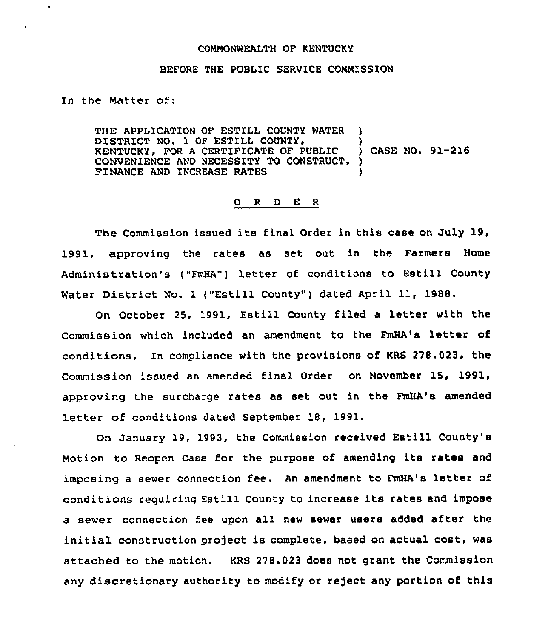#### COMMONWEALTH OF KENTUCKY

### BEFORE THE PUBLIC SERVICE COMMISSION

In the Matter of:

THE APPLICATION OF ESTILL COUNTY WATER DISTRICT NO. 1 OF ESTILL COUNTY, KENTUCKY, FOR A CERTIFICATE OF PUBLIC CONVENIENCE AND NECESSITY TO CONSTRUCT, FINANCE AND INCREASE RATES ) CASE NO. 91-216 ) )

#### 0 <sup>R</sup> <sup>D</sup> <sup>E</sup> <sup>R</sup>

The Commission issued its final Order in this case on July 19, 1991, approving the rates as set out in the Farmers Home Administration's ("FmHA") letter of conditions to Estill County Water District No. 1 ("Estill County") dated April 11, 1988.

On October 25, 1991, Estill County filed a letter with the Commission which included an amendment to the FmHA's letter of conditions. In compliance with the provisions of KRS 278.023, the Commission issued an amended final Order on November 15, 1991, approving the surcharge rates as set out in the FmHA's amended letter of conditions dated September 18, 1991.

On January 19, 1993, the Commission received Estill County's Motion to Reopen Case for the purpose of amending its rates and imposing a sewer connection fee. An amendment to FmHA's letter of conditions requiring Estill County to increase its rates and impose a sewer connection fee upon all new sewer users added after the initial construction project is complete, based on actual cost, was attached to the motion. KRS 278.023 does not grant the Commission any discretionary authority to modify or reject any portion of this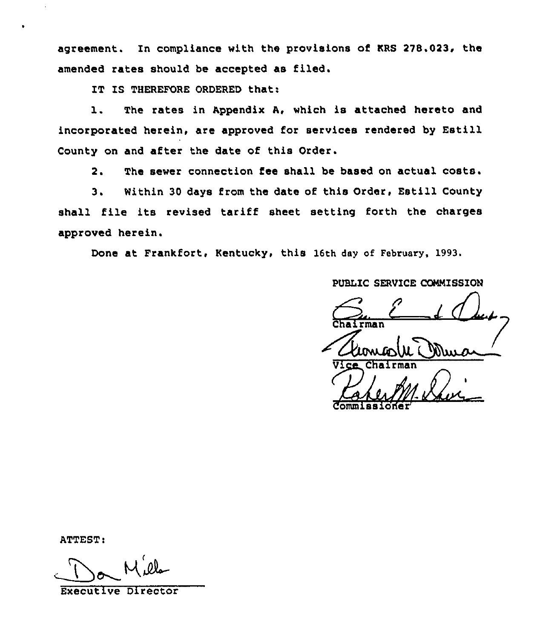agreement. In compliance with the provisions of KRS 278.023, the amended rates should be accepted as filed.

IT IS THEREFORE ORDERED that:

1. The rates in Appendix A, which is attached hereto and incorporated herein, are approved for services rendered by Estill County on and after the date of this Order.

2. The sewer connection fee shall be based on actual costs.

3. Within 30 days from the date of this Order, Estill County shall file its revised tariff sheet setting forth the charges approved herein.

Done at Frankfort, Kentucky, this 16th day of February, 1993.

PUBLIC SERVICE COMMISSION

Chairman Chairman /"

ATTEST:

Executive Director